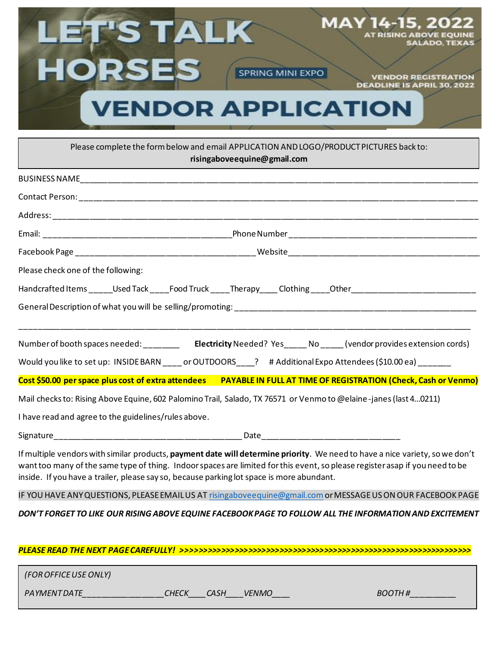

Please complete the form below and email APPLICATION AND LOGO/PRODUCT PICTURES back to: **risingaboveequine@gmail.com**

| Please check one of the following:                                                                                                                                                                                                                                                                                                                                                                                                                                                                                                                   |
|------------------------------------------------------------------------------------------------------------------------------------------------------------------------------------------------------------------------------------------------------------------------------------------------------------------------------------------------------------------------------------------------------------------------------------------------------------------------------------------------------------------------------------------------------|
| Handcrafted Items _____Used Tack ____Food Truck ____Therapy ____Clothing ____Other ___________________________                                                                                                                                                                                                                                                                                                                                                                                                                                       |
|                                                                                                                                                                                                                                                                                                                                                                                                                                                                                                                                                      |
| Number of booth spaces needed: __________________________Electricity Needed? Yes_______No _______(vendor provides extension cords)<br>Would you like to set up: INSIDE BARN ____ or OUTDOORS ____? # Additional Expo Attendees (\$10.00 ea) ______<br>Cost \$50.00 per space plus cost of extra attendees PAYABLE IN FULL AT TIME OF REGISTRATION (Check, Cash or Venmo)<br>Mail checks to: Rising Above Equine, 602 Palomino Trail, Salado, TX 76571 or Venmo to @elaine-janes (last 40211)<br>I have read and agree to the guidelines/rules above. |
|                                                                                                                                                                                                                                                                                                                                                                                                                                                                                                                                                      |
| If multiple vendors with similar products, payment date will determine priority. We need to have a nice variety, so we don't<br>want too many of the same type of thing. Indoor spaces are limited for this event, so please register asap if you need to be<br>inside. If you have a trailer, please say so, because parking lot space is more abundant.                                                                                                                                                                                            |
| IF YOU HAVE ANY QUESTIONS, PLEASE EMAIL US AT risingabove equine@gmail.com or MESSAGE US ON OUR FACEBOOK PAGE                                                                                                                                                                                                                                                                                                                                                                                                                                        |
| DON'T FORGET TO LIKE OUR RISING ABOVE EQUINE FACEBOOK PAGE TO FOLLOW ALL THE INFORMATION AND EXCITEMENT                                                                                                                                                                                                                                                                                                                                                                                                                                              |

*PLEASE READ THE NEXT PAGE CAREFULLY! >>>>>>>>>>>>>>>>>>>>>>>>>>>>>>>>>>>>>>>>>>>>>>>>>>>>>>>>>>>>>>>>>*

*PAYMENTDATE\_\_\_\_\_\_\_\_\_\_\_\_\_\_\_\_\_\_CHECK\_\_\_\_CASH\_\_\_\_VENMO\_\_\_\_ BOOTH #\_\_\_\_\_\_\_\_\_\_*